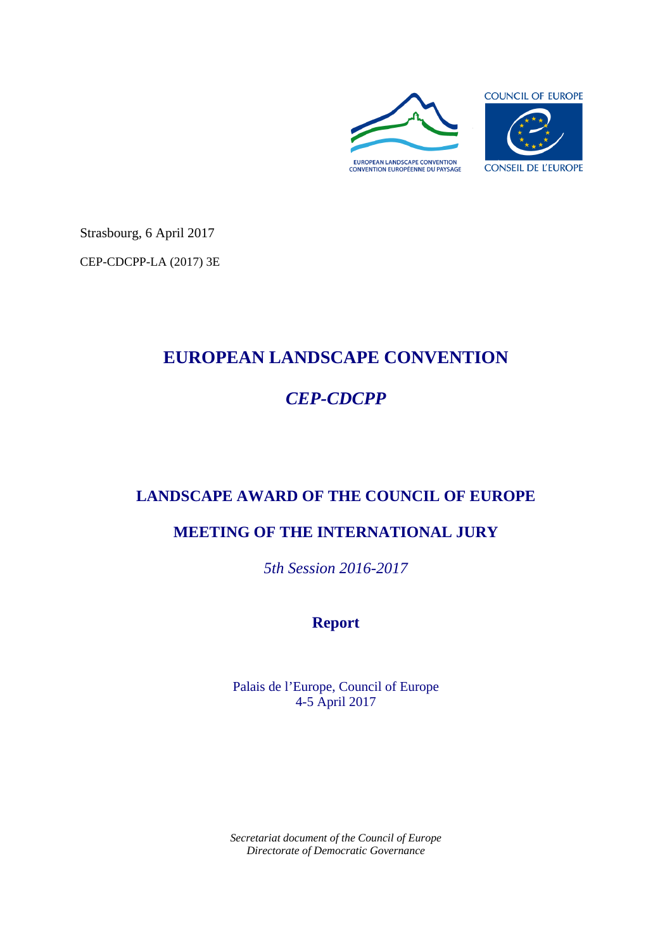

Strasbourg, 6 April 2017

CEP-CDCPP-LA (2017) 3E

# **EUROPEAN LANDSCAPE CONVENTION**

# *CEP-CDCPP*

# **LANDSCAPE AWARD OF THE COUNCIL OF EUROPE**

# **MEETING OF THE INTERNATIONAL JURY**

*5th Session 2016-2017*

# **Report**

Palais de l'Europe, Council of Europe 4-5 April 2017

*Secretariat document of the Council of Europe Directorate of Democratic Governance*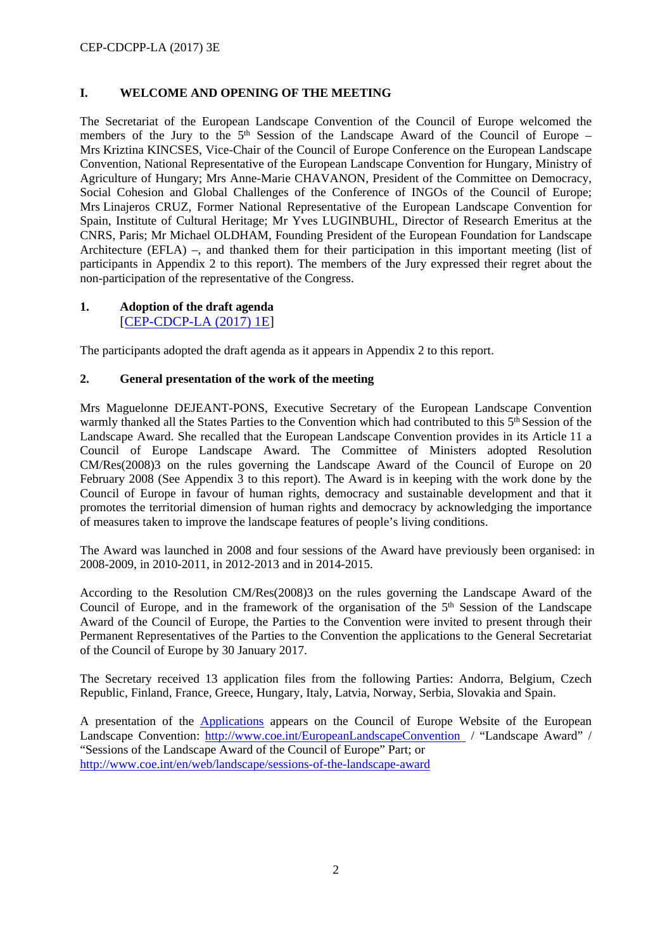# **I. WELCOME AND OPENING OF THE MEETING**

The Secretariat of the European Landscape Convention of the Council of Europe welcomed the members of the Jury to the  $5<sup>th</sup>$  Session of the Landscape Award of the Council of Europe – Mrs Kriztina KINCSES, Vice-Chair of the Council of Europe Conference on the European Landscape Convention, National Representative of the European Landscape Convention for Hungary, Ministry of Agriculture of Hungary; Mrs Anne-Marie CHAVANON, President of the Committee on Democracy, Social Cohesion and Global Challenges of the Conference of INGOs of the Council of Europe; Mrs Linajeros CRUZ, Former National Representative of the European Landscape Convention for Spain, Institute of Cultural Heritage; Mr Yves LUGINBUHL, Director of Research Emeritus at the CNRS, Paris; Mr Michael OLDHAM, Founding President of the European Foundation for Landscape Architecture (EFLA) –, and thanked them for their participation in this important meeting (list of participants in Appendix 2 to this report). The members of the Jury expressed their regret about the non-participation of the representative of the Congress.

## **1. Adoption of the draft agenda** [\[CEP-CDCP-LA \(2017\) 1E\]](http://rm.coe.int/doc/09000016807006a6)

The participants adopted the draft agenda as it appears in Appendix 2 to this report.

## **2. General presentation of the work of the meeting**

Mrs Maguelonne DEJEANT-PONS, Executive Secretary of the European Landscape Convention warmly thanked all the States Parties to the Convention which had contributed to this 5<sup>th</sup> Session of the Landscape Award. She recalled that the European Landscape Convention provides in its Article 11 a Council of Europe Landscape Award. The Committee of Ministers adopted Resolution CM/Res(2008)3 on the rules governing the Landscape Award of the Council of Europe on 20 February 2008 (See Appendix 3 to this report). The Award is in keeping with the work done by the Council of Europe in favour of human rights, democracy and sustainable development and that it promotes the territorial dimension of human rights and democracy by acknowledging the importance of measures taken to improve the landscape features of people's living conditions.

The Award was launched in 2008 and four sessions of the Award have previously been organised: in 2008-2009, in 2010-2011, in 2012-2013 and in 2014-2015.

According to the Resolution CM/Res(2008)3 on the rules governing the Landscape Award of the Council of Europe, and in the framework of the organisation of the  $5<sup>th</sup>$  Session of the Landscape Award of the Council of Europe, the Parties to the Convention were invited to present through their Permanent Representatives of the Parties to the Convention the applications to the General Secretariat of the Council of Europe by 30 January 2017.

The Secretary received 13 application files from the following Parties: Andorra, Belgium, Czech Republic, Finland, France, Greece, Hungary, Italy, Latvia, Norway, Serbia, Slovakia and Spain.

A presentation of the [Applications](http://www.coe.int/web/landscape/5th-award-candidates) appears on the Council of Europe Website of the European Landscape Convention: [http://www.coe.int/EuropeanLandscapeConvention](http://www.coe.int/EuropeanLandscapeConvention%20/) / "Landscape Award" / "Sessions of the Landscape Award of the Council of Europe" Part; or <http://www.coe.int/en/web/landscape/sessions-of-the-landscape-award>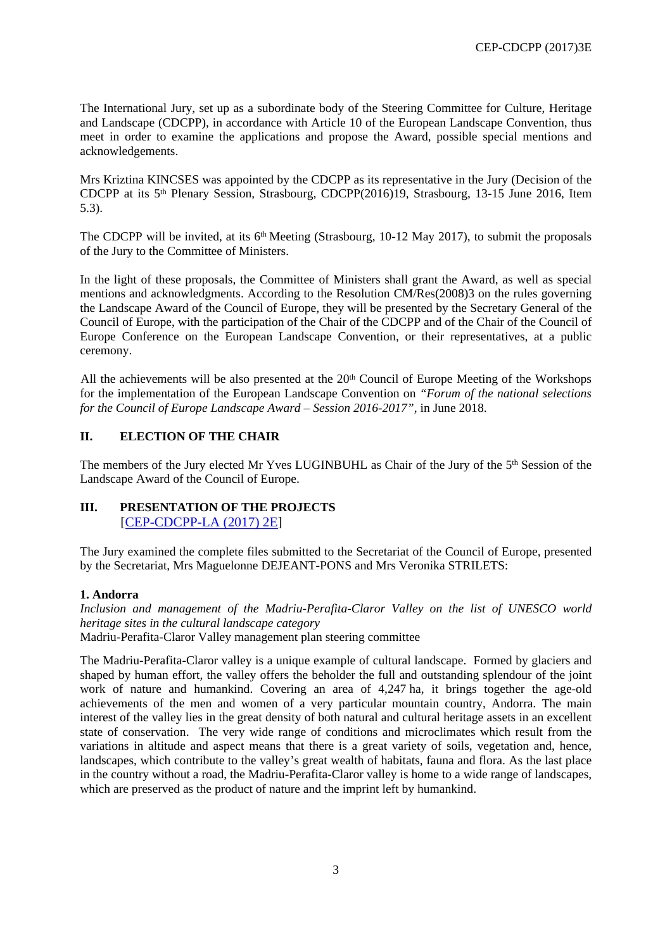The International Jury, set up as a subordinate body of the Steering Committee for Culture, Heritage and Landscape (CDCPP), in accordance with Article 10 of the European Landscape Convention, thus meet in order to examine the applications and propose the Award, possible special mentions and acknowledgements.

Mrs Kriztina KINCSES was appointed by the CDCPP as its representative in the Jury (Decision of the CDCPP at its 5th Plenary Session, Strasbourg, CDCPP(2016)19, Strasbourg, 13-15 June 2016, Item 5.3).

The CDCPP will be invited, at its 6<sup>th</sup> Meeting (Strasbourg, 10-12 May 2017), to submit the proposals of the Jury to the Committee of Ministers.

In the light of these proposals, the Committee of Ministers shall grant the Award, as well as special mentions and acknowledgments. According to the Resolution CM/Res(2008)3 on the rules governing the Landscape Award of the Council of Europe, they will be presented by the Secretary General of the Council of Europe, with the participation of the Chair of the CDCPP and of the Chair of the Council of Europe Conference on the European Landscape Convention, or their representatives, at a public ceremony.

All the achievements will be also presented at the 20<sup>th</sup> Council of Europe Meeting of the Workshops for the implementation of the European Landscape Convention on *"Forum of the national selections for the Council of Europe Landscape Award – Session 2016-2017"*, in June 2018.

## **II. ELECTION OF THE CHAIR**

The members of the Jury elected Mr Yves LUGINBUHL as Chair of the Jury of the 5th Session of the Landscape Award of the Council of Europe.

## **III. PRESENTATION OF THE PROJECTS** [[CEP-CDCPP-LA \(2017\) 2E](http://rm.coe.int/doc/09000016806fcf36)]

The Jury examined the complete files submitted to the Secretariat of the Council of Europe, presented by the Secretariat, Mrs Maguelonne DEJEANT-PONS and Mrs Veronika STRILETS:

### **1. Andorra**

*Inclusion and management of the Madriu-Perafita-Claror Valley on the list of UNESCO world heritage sites in the cultural landscape category* Madriu-Perafita-Claror Valley management plan steering committee

The Madriu-Perafita-Claror valley is a unique example of cultural landscape. Formed by glaciers and shaped by human effort, the valley offers the beholder the full and outstanding splendour of the joint work of nature and humankind. Covering an area of 4,247 ha, it brings together the age-old achievements of the men and women of a very particular mountain country, Andorra. The main interest of the valley lies in the great density of both natural and cultural heritage assets in an excellent state of conservation. The very wide range of conditions and microclimates which result from the variations in altitude and aspect means that there is a great variety of soils, vegetation and, hence, landscapes, which contribute to the valley's great wealth of habitats, fauna and flora. As the last place in the country without a road, the Madriu-Perafita-Claror valley is home to a wide range of landscapes, which are preserved as the product of nature and the imprint left by humankind.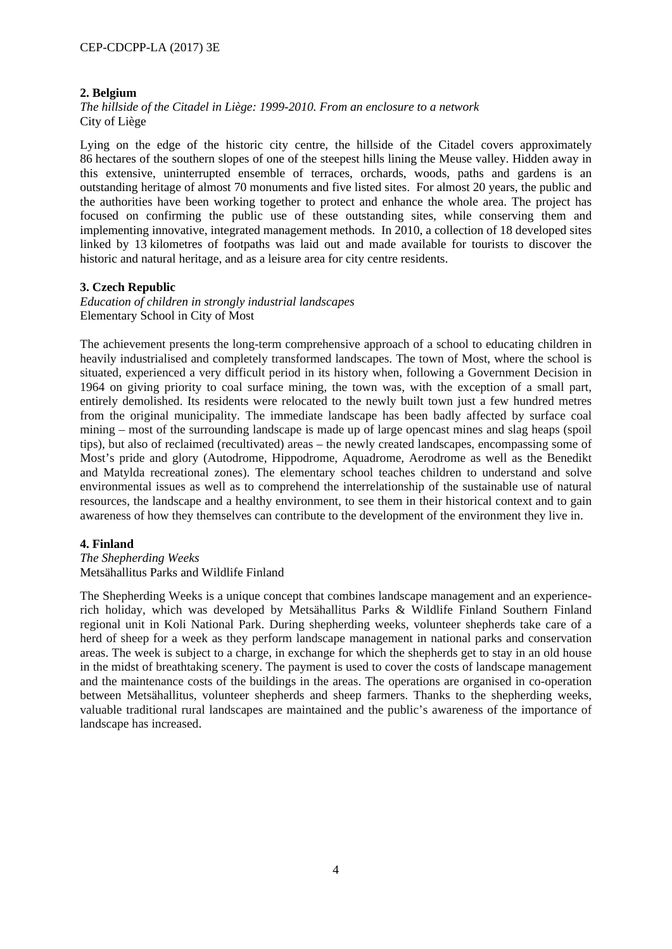## **2. Belgium**

*The hillside of the Citadel in Liège: 1999-2010. From an enclosure to a network* City of Liège

Lying on the edge of the historic city centre, the hillside of the Citadel covers approximately 86 hectares of the southern slopes of one of the steepest hills lining the Meuse valley. Hidden away in this extensive, uninterrupted ensemble of terraces, orchards, woods, paths and gardens is an outstanding heritage of almost 70 monuments and five listed sites. For almost 20 years, the public and the authorities have been working together to protect and enhance the whole area. The project has focused on confirming the public use of these outstanding sites, while conserving them and implementing innovative, integrated management methods. In 2010, a collection of 18 developed sites linked by 13 kilometres of footpaths was laid out and made available for tourists to discover the historic and natural heritage, and as a leisure area for city centre residents.

## **3. Czech Republic**

*Education of children in strongly industrial landscapes* Elementary School in City of Most

The achievement presents the long-term comprehensive approach of a school to educating children in heavily industrialised and completely transformed landscapes. The town of Most, where the school is situated, experienced a very difficult period in its history when, following a Government Decision in 1964 on giving priority to coal surface mining, the town was, with the exception of a small part, entirely demolished. Its residents were relocated to the newly built town just a few hundred metres from the original municipality. The immediate landscape has been badly affected by surface coal mining – most of the surrounding landscape is made up of large opencast mines and slag heaps (spoil tips), but also of reclaimed (recultivated) areas – the newly created landscapes, encompassing some of Most's pride and glory (Autodrome, Hippodrome, Aquadrome, Aerodrome as well as the Benedikt and Matylda recreational zones). The elementary school teaches children to understand and solve environmental issues as well as to comprehend the interrelationship of the sustainable use of natural resources, the landscape and a healthy environment, to see them in their historical context and to gain awareness of how they themselves can contribute to the development of the environment they live in.

### **4. Finland**

#### *The Shepherding Weeks* Metsähallitus Parks and Wildlife Finland

The Shepherding Weeks is a unique concept that combines landscape management and an experiencerich holiday, which was developed by Metsähallitus Parks & Wildlife Finland Southern Finland regional unit in Koli National Park. During shepherding weeks, volunteer shepherds take care of a herd of sheep for a week as they perform landscape management in national parks and conservation areas. The week is subject to a charge, in exchange for which the shepherds get to stay in an old house in the midst of breathtaking scenery. The payment is used to cover the costs of landscape management and the maintenance costs of the buildings in the areas. The operations are organised in co-operation between Metsähallitus, volunteer shepherds and sheep farmers. Thanks to the shepherding weeks, valuable traditional rural landscapes are maintained and the public's awareness of the importance of landscape has increased.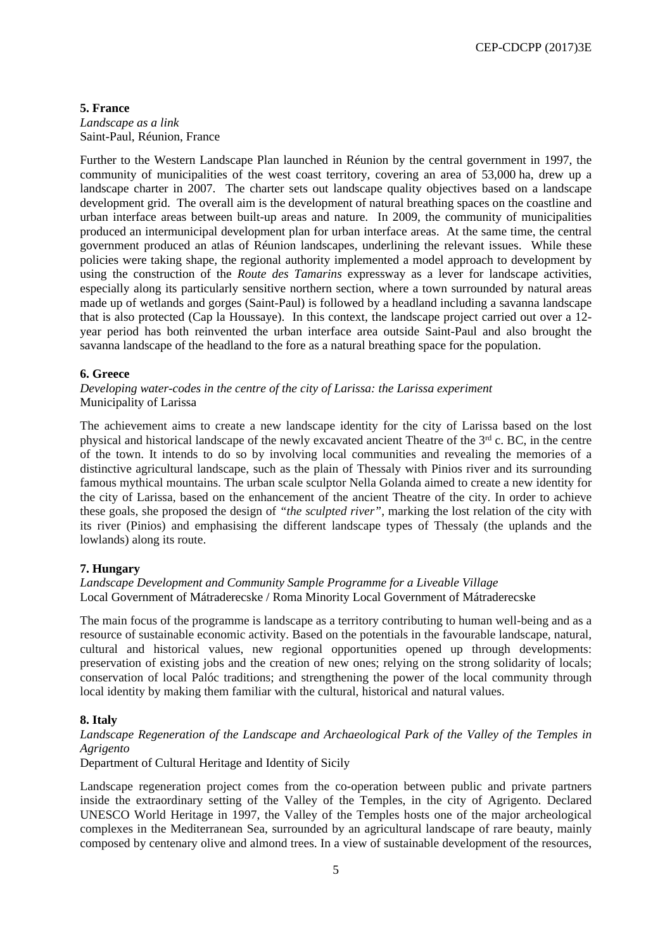#### **5. France**

*Landscape as a link* Saint-Paul, Réunion, France

Further to the Western Landscape Plan launched in Réunion by the central government in 1997, the community of municipalities of the west coast territory, covering an area of 53,000 ha, drew up a landscape charter in 2007. The charter sets out landscape quality objectives based on a landscape development grid. The overall aim is the development of natural breathing spaces on the coastline and urban interface areas between built-up areas and nature. In 2009, the community of municipalities produced an intermunicipal development plan for urban interface areas. At the same time, the central government produced an atlas of Réunion landscapes*,* underlining the relevant issues. While these policies were taking shape, the regional authority implemented a model approach to development by using the construction of the *Route des Tamarins* expressway as a lever for landscape activities, especially along its particularly sensitive northern section, where a town surrounded by natural areas made up of wetlands and gorges (Saint-Paul) is followed by a headland including a savanna landscape that is also protected (Cap la Houssaye). In this context, the landscape project carried out over a 12 year period has both reinvented the urban interface area outside Saint-Paul and also brought the savanna landscape of the headland to the fore as a natural breathing space for the population.

#### **6. Greece**

*Developing water-codes in the centre of the city of Larissa: the Larissa experiment* Municipality of Larissa

The achievement aims to create a new landscape identity for the city of Larissa based on the lost physical and historical landscape of the newly excavated ancient Theatre of the 3rd c. BC, in the centre of the town. It intends to do so by involving local communities and revealing the memories of a distinctive agricultural landscape, such as the plain of Thessaly with Pinios river and its surrounding famous mythical mountains. The urban scale sculptor Nella Golanda aimed to create a new identity for the city of Larissa, based on the enhancement of the ancient Theatre of the city. In order to achieve these goals, she proposed the design of *"the sculpted river"*, marking the lost relation of the city with its river (Pinios) and emphasising the different landscape types of Thessaly (the uplands and the lowlands) along its route.

### **7. Hungary**

*Landscape Development and Community Sample Programme for a Liveable Village* Local Government of Mátraderecske / Roma Minority Local Government of Mátraderecske

The main focus of the programme is landscape as a territory contributing to human well-being and as a resource of sustainable economic activity. Based on the potentials in the favourable landscape, natural, cultural and historical values, new regional opportunities opened up through developments: preservation of existing jobs and the creation of new ones; relying on the strong solidarity of locals; conservation of local Palóc traditions; and strengthening the power of the local community through local identity by making them familiar with the cultural, historical and natural values.

#### **8. Italy**

*Landscape Regeneration of the Landscape and Archaeological Park of the Valley of the Temples in Agrigento* 

Department of Cultural Heritage and Identity of Sicily

Landscape regeneration project comes from the co-operation between public and private partners inside the extraordinary setting of the Valley of the Temples, in the city of Agrigento. Declared UNESCO World Heritage in 1997, the Valley of the Temples hosts one of the major archeological complexes in the Mediterranean Sea, surrounded by an agricultural landscape of rare beauty, mainly composed by centenary olive and almond trees. In a view of sustainable development of the resources,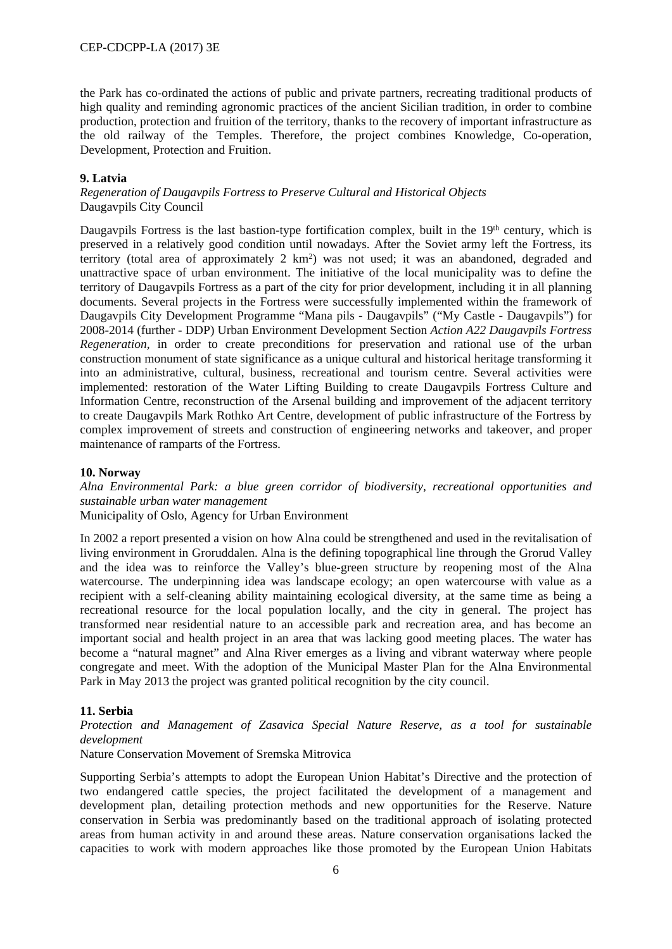the Park has co-ordinated the actions of public and private partners, recreating traditional products of high quality and reminding agronomic practices of the ancient Sicilian tradition, in order to combine production, protection and fruition of the territory, thanks to the recovery of important infrastructure as the old railway of the Temples. Therefore, the project combines Knowledge, Co-operation, Development, Protection and Fruition.

#### **9. Latvia**

*Regeneration of Daugavpils Fortress to Preserve Cultural and Historical Objects* Daugavpils City Council

Daugavpils Fortress is the last bastion-type fortification complex, built in the  $19<sup>th</sup>$  century, which is preserved in a relatively good condition until nowadays. After the Soviet army left the Fortress, its territory (total area of approximately  $2 \text{ km}^2$ ) was not used; it was an abandoned, degraded and unattractive space of urban environment. The initiative of the local municipality was to define the territory of Daugavpils Fortress as a part of the city for prior development, including it in all planning documents. Several projects in the Fortress were successfully implemented within the framework of Daugavpils City Development Programme "Mana pils - Daugavpils" ("My Castle - Daugavpils") for 2008-2014 (further - DDP) Urban Environment Development Section *Action A22 Daugavpils Fortress Regeneration,* in order to create preconditions for preservation and rational use of the urban construction monument of state significance as a unique cultural and historical heritage transforming it into an administrative, cultural, business, recreational and tourism centre. Several activities were implemented: restoration of the Water Lifting Building to create Daugavpils Fortress Culture and Information Centre, reconstruction of the Arsenal building and improvement of the adjacent territory to create Daugavpils Mark Rothko Art Centre, development of public infrastructure of the Fortress by complex improvement of streets and construction of engineering networks and takeover, and proper maintenance of ramparts of the Fortress.

#### **10. Norway**

*Alna Environmental Park: a blue green corridor of biodiversity, recreational opportunities and sustainable urban water management*

Municipality of Oslo, Agency for Urban Environment

In 2002 a report presented a vision on how Alna could be strengthened and used in the revitalisation of living environment in Groruddalen. Alna is the defining topographical line through the Grorud Valley and the idea was to reinforce the Valley's blue-green structure by reopening most of the Alna watercourse. The underpinning idea was landscape ecology; an open watercourse with value as a recipient with a self-cleaning ability maintaining ecological diversity, at the same time as being a recreational resource for the local population locally, and the city in general. The project has transformed near residential nature to an accessible park and recreation area, and has become an important social and health project in an area that was lacking good meeting places. The water has become a "natural magnet" and Alna River emerges as a living and vibrant waterway where people congregate and meet. With the adoption of the Municipal Master Plan for the Alna Environmental Park in May 2013 the project was granted political recognition by the city council.

### **11. Serbia**

*Protection and Management of Zasavica Special Nature Reserve, as a tool for sustainable development*

Nature Conservation Movement of Sremska Mitrovica

Supporting Serbia's attempts to adopt the European Union Habitat's Directive and the protection of two endangered cattle species, the project facilitated the development of a management and development plan, detailing protection methods and new opportunities for the Reserve. Nature conservation in Serbia was predominantly based on the traditional approach of isolating protected areas from human activity in and around these areas. Nature conservation organisations lacked the capacities to work with modern approaches like those promoted by the European Union Habitats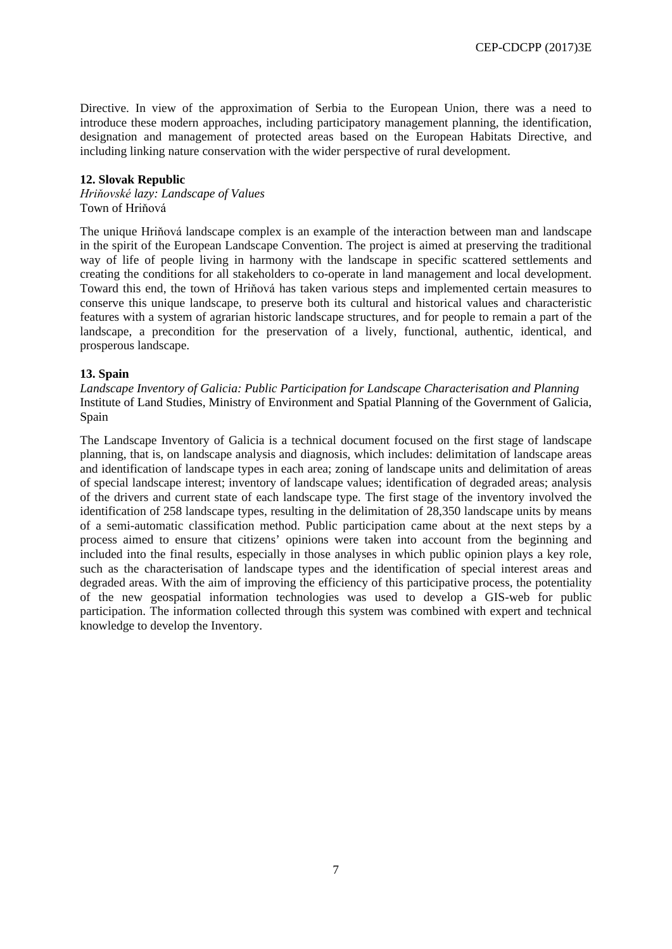CEP-CDCPP (2017)3E

Directive. In view of the approximation of Serbia to the European Union, there was a need to introduce these modern approaches, including participatory management planning, the identification, designation and management of protected areas based on the European Habitats Directive, and including linking nature conservation with the wider perspective of rural development.

## **12. Slovak Republic**

*Hriňovské lazy: Landscape of Values* Town of Hriňová

The unique Hriňová landscape complex is an example of the interaction between man and landscape in the spirit of the European Landscape Convention. The project is aimed at preserving the traditional way of life of people living in harmony with the landscape in specific scattered settlements and creating the conditions for all stakeholders to co-operate in land management and local development. Toward this end, the town of Hriňová has taken various steps and implemented certain measures to conserve this unique landscape, to preserve both its cultural and historical values and characteristic features with a system of agrarian historic landscape structures, and for people to remain a part of the landscape, a precondition for the preservation of a lively, functional, authentic, identical, and prosperous landscape.

#### **13. Spain**

*Landscape Inventory of Galicia: Public Participation for Landscape Characterisation and Planning* Institute of Land Studies, Ministry of Environment and Spatial Planning of the Government of Galicia, Spain

The Landscape Inventory of Galicia is a technical document focused on the first stage of landscape planning, that is, on landscape analysis and diagnosis, which includes: delimitation of landscape areas and identification of landscape types in each area; zoning of landscape units and delimitation of areas of special landscape interest; inventory of landscape values; identification of degraded areas; analysis of the drivers and current state of each landscape type. The first stage of the inventory involved the identification of 258 landscape types, resulting in the delimitation of 28,350 landscape units by means of a semi-automatic classification method. Public participation came about at the next steps by a process aimed to ensure that citizens' opinions were taken into account from the beginning and included into the final results, especially in those analyses in which public opinion plays a key role, such as the characterisation of landscape types and the identification of special interest areas and degraded areas. With the aim of improving the efficiency of this participative process, the potentiality of the new geospatial information technologies was used to develop a GIS-web for public participation. The information collected through this system was combined with expert and technical knowledge to develop the Inventory.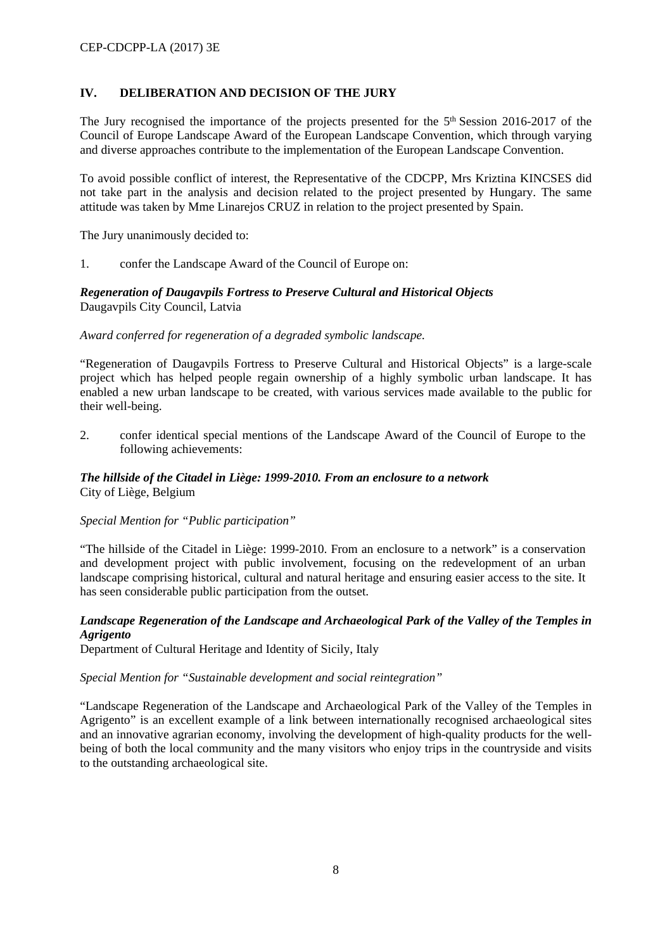# **IV. DELIBERATION AND DECISION OF THE JURY**

The Jury recognised the importance of the projects presented for the 5<sup>th</sup> Session 2016-2017 of the Council of Europe Landscape Award of the European Landscape Convention, which through varying and diverse approaches contribute to the implementation of the European Landscape Convention.

To avoid possible conflict of interest, the Representative of the CDCPP, Mrs Kriztina KINCSES did not take part in the analysis and decision related to the project presented by Hungary. The same attitude was taken by Mme Linarejos CRUZ in relation to the project presented by Spain.

The Jury unanimously decided to:

1. confer the Landscape Award of the Council of Europe on:

### *Regeneration of Daugavpils Fortress to Preserve Cultural and Historical Objects* Daugavpils City Council, Latvia

*Award conferred for regeneration of a degraded symbolic landscape.* 

"Regeneration of Daugavpils Fortress to Preserve Cultural and Historical Objects" is a large-scale project which has helped people regain ownership of a highly symbolic urban landscape. It has enabled a new urban landscape to be created, with various services made available to the public for their well-being.

2. confer identical special mentions of the Landscape Award of the Council of Europe to the following achievements:

## *The hillside of the Citadel in Liège: 1999-2010. From an enclosure to a network* City of Liège, Belgium

### *Special Mention for "Public participation"*

"The hillside of the Citadel in Liège: 1999-2010. From an enclosure to a network" is a conservation and development project with public involvement, focusing on the redevelopment of an urban landscape comprising historical, cultural and natural heritage and ensuring easier access to the site. It has seen considerable public participation from the outset.

## *Landscape Regeneration of the Landscape and Archaeological Park of the Valley of the Temples in Agrigento*

Department of Cultural Heritage and Identity of Sicily, Italy

### *Special Mention for "Sustainable development and social reintegration"*

"Landscape Regeneration of the Landscape and Archaeological Park of the Valley of the Temples in Agrigento" is an excellent example of a link between internationally recognised archaeological sites and an innovative agrarian economy, involving the development of high-quality products for the wellbeing of both the local community and the many visitors who enjoy trips in the countryside and visits to the outstanding archaeological site.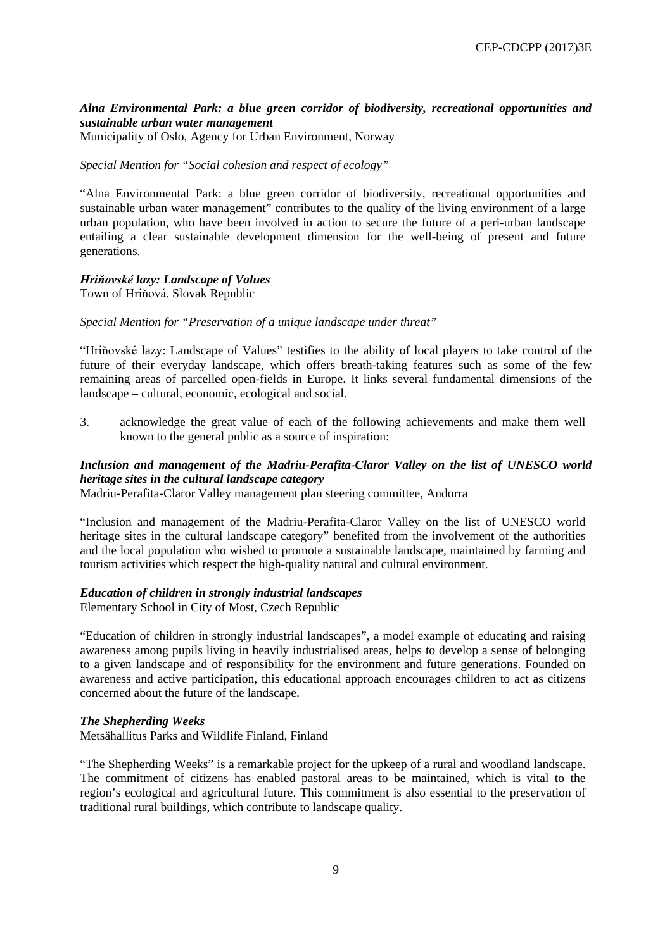## *Alna Environmental Park: a blue green corridor of biodiversity, recreational opportunities and sustainable urban water management*

Municipality of Oslo, Agency for Urban Environment, Norway

#### *Special Mention for "Social cohesion and respect of ecology"*

"Alna Environmental Park: a blue green corridor of biodiversity, recreational opportunities and sustainable urban water management" contributes to the quality of the living environment of a large urban population, who have been involved in action to secure the future of a peri-urban landscape entailing a clear sustainable development dimension for the well-being of present and future generations.

## *Hriňovské lazy: Landscape of Values*

Town of Hriňová, Slovak Republic

*Special Mention for "Preservation of a unique landscape under threat"*

"Hriňovské lazy: Landscape of Values" testifies to the ability of local players to take control of the future of their everyday landscape, which offers breath-taking features such as some of the few remaining areas of parcelled open-fields in Europe. It links several fundamental dimensions of the landscape – cultural, economic, ecological and social.

3. acknowledge the great value of each of the following achievements and make them well known to the general public as a source of inspiration:

## *Inclusion and management of the Madriu-Perafita-Claror Valley on the list of UNESCO world heritage sites in the cultural landscape category*

Madriu-Perafita-Claror Valley management plan steering committee, Andorra

"Inclusion and management of the Madriu-Perafita-Claror Valley on the list of UNESCO world heritage sites in the cultural landscape category" benefited from the involvement of the authorities and the local population who wished to promote a sustainable landscape, maintained by farming and tourism activities which respect the high-quality natural and cultural environment.

#### *Education of children in strongly industrial landscapes*

Elementary School in City of Most, Czech Republic

"Education of children in strongly industrial landscapes", a model example of educating and raising awareness among pupils living in heavily industrialised areas, helps to develop a sense of belonging to a given landscape and of responsibility for the environment and future generations. Founded on awareness and active participation, this educational approach encourages children to act as citizens concerned about the future of the landscape.

#### *The Shepherding Weeks*

Metsähallitus Parks and Wildlife Finland, Finland

"The Shepherding Weeks" is a remarkable project for the upkeep of a rural and woodland landscape. The commitment of citizens has enabled pastoral areas to be maintained, which is vital to the region's ecological and agricultural future. This commitment is also essential to the preservation of traditional rural buildings, which contribute to landscape quality.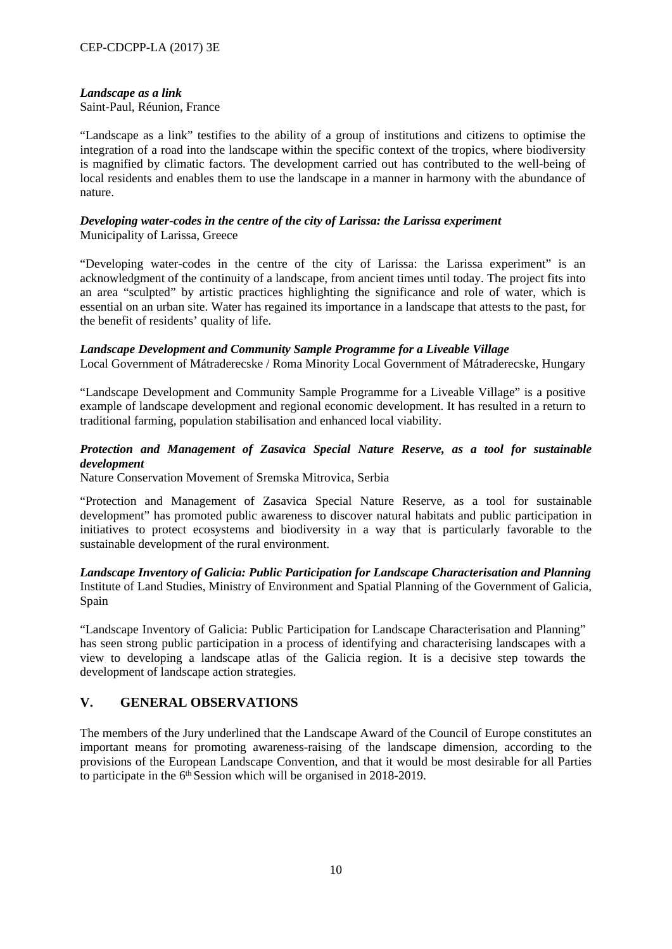## *Landscape as a link*

Saint-Paul, Réunion, France

"Landscape as a link" testifies to the ability of a group of institutions and citizens to optimise the integration of a road into the landscape within the specific context of the tropics, where biodiversity is magnified by climatic factors. The development carried out has contributed to the well-being of local residents and enables them to use the landscape in a manner in harmony with the abundance of nature.

## *Developing water-codes in the centre of the city of Larissa: the Larissa experiment* Municipality of Larissa, Greece

"Developing water-codes in the centre of the city of Larissa: the Larissa experiment" is an acknowledgment of the continuity of a landscape, from ancient times until today. The project fits into an area "sculpted" by artistic practices highlighting the significance and role of water, which is essential on an urban site. Water has regained its importance in a landscape that attests to the past, for the benefit of residents' quality of life.

### *Landscape Development and Community Sample Programme for a Liveable Village*

Local Government of Mátraderecske / Roma Minority Local Government of Mátraderecske, Hungary

"Landscape Development and Community Sample Programme for a Liveable Village" is a positive example of landscape development and regional economic development. It has resulted in a return to traditional farming, population stabilisation and enhanced local viability.

## *Protection and Management of Zasavica Special Nature Reserve, as a tool for sustainable development*

Nature Conservation Movement of Sremska Mitrovica, Serbia

"Protection and Management of Zasavica Special Nature Reserve, as a tool for sustainable development" has promoted public awareness to discover natural habitats and public participation in initiatives to protect ecosystems and biodiversity in a way that is particularly favorable to the sustainable development of the rural environment.

*Landscape Inventory of Galicia: Public Participation for Landscape Characterisation and Planning* Institute of Land Studies, Ministry of Environment and Spatial Planning of the Government of Galicia, Spain

"Landscape Inventory of Galicia: Public Participation for Landscape Characterisation and Planning" has seen strong public participation in a process of identifying and characterising landscapes with a view to developing a landscape atlas of the Galicia region. It is a decisive step towards the development of landscape action strategies.

# **V. GENERAL OBSERVATIONS**

The members of the Jury underlined that the Landscape Award of the Council of Europe constitutes an important means for promoting awareness-raising of the landscape dimension, according to the provisions of the European Landscape Convention, and that it would be most desirable for all Parties to participate in the 6<sup>th</sup> Session which will be organised in 2018-2019.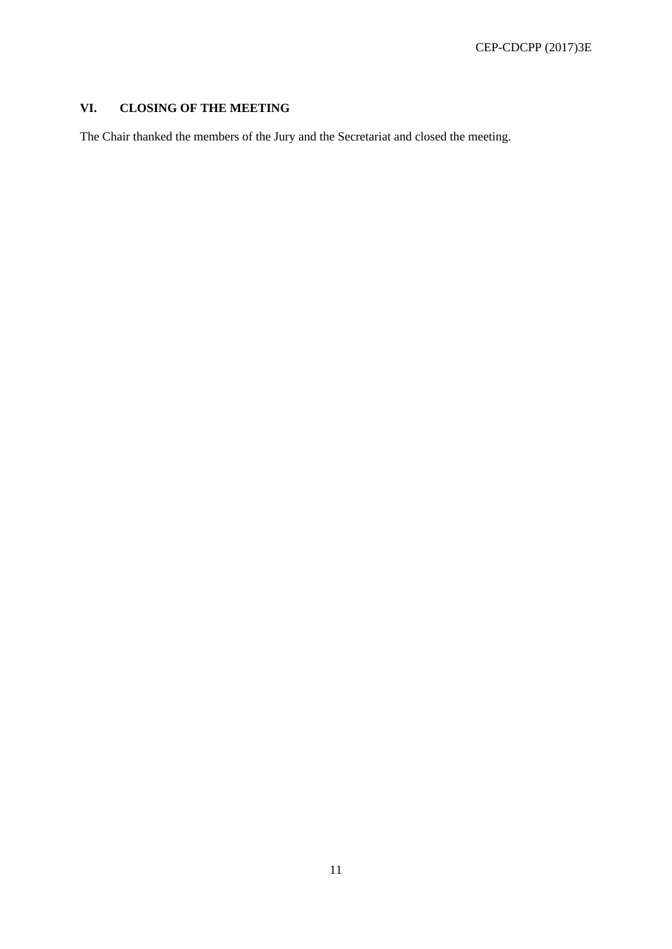# **VI. CLOSING OF THE MEETING**

The Chair thanked the members of the Jury and the Secretariat and closed the meeting.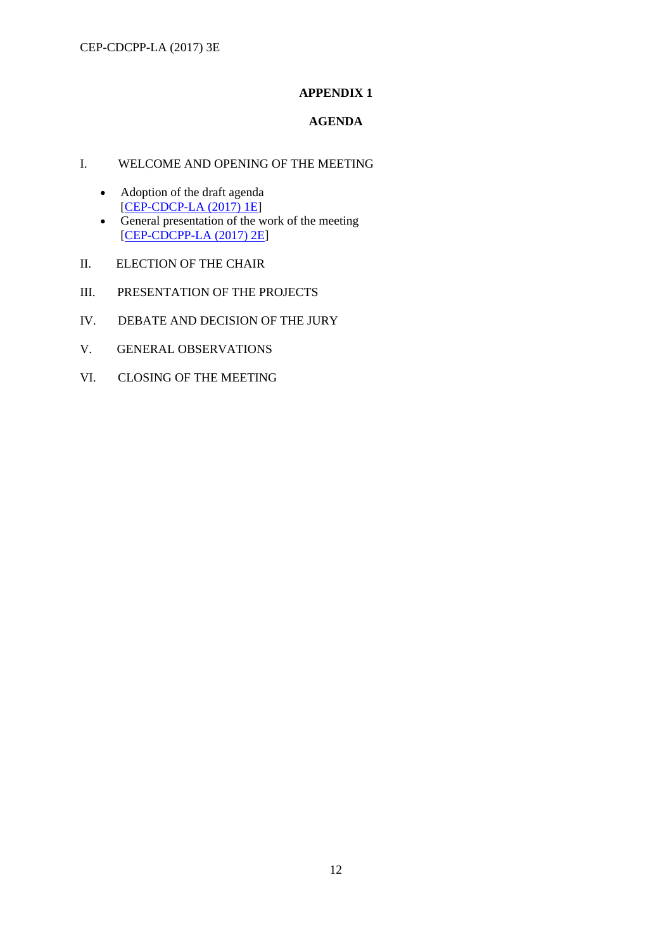# **APPENDIX 1**

# **AGENDA**

## I. WELCOME AND OPENING OF THE MEETING

- Adoption of the draft agenda [[CEP-CDCP-LA \(2017\) 1E\]](http://rm.coe.int/doc/09000016807006a6)
- General presentation of the work of the meeting [[CEP-CDCPP-LA \(2017\) 2E\]](http://rm.coe.int/doc/09000016806fcf36)
- II. ELECTION OF THE CHAIR
- III. PRESENTATION OF THE PROJECTS
- IV. DEBATE AND DECISION OF THE JURY
- V. GENERAL OBSERVATIONS
- VI. CLOSING OF THE MEETING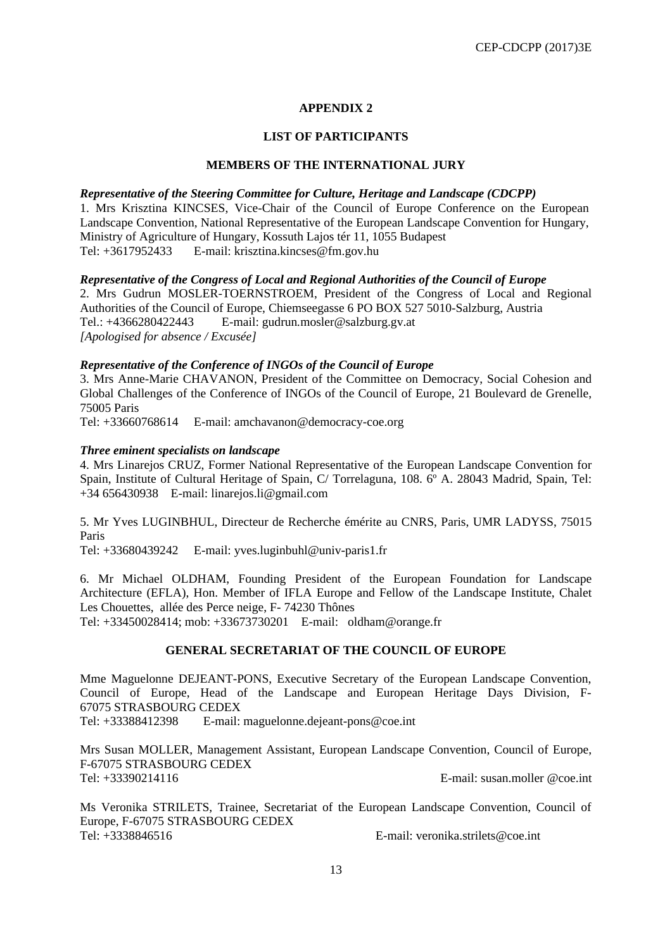# **APPENDIX 2**

#### **LIST OF PARTICIPANTS**

#### **MEMBERS OF THE INTERNATIONAL JURY**

#### *Representative of the Steering Committee for Culture, Heritage and Landscape (CDCPP)*

1. Mrs Krisztina KINCSES, Vice-Chair of the Council of Europe Conference on the European Landscape Convention, National Representative of the European Landscape Convention for Hungary, Ministry of Agriculture of Hungary, Kossuth Lajos tér 11, 1055 Budapest Tel: +3617952433 E-mail: [krisztina.kincses@fm.gov.hu](mailto:krisztina.kincses@fm.gov.hu)

#### *Representative of the Congress of Local and Regional Authorities of the Council of Europe*

2. Mrs Gudrun MOSLER-TOERNSTROEM, President of the Congress of Local and Regional Authorities of the Council of Europe, Chiemseegasse 6 PO BOX 527 5010-Salzburg, Austria Tel.: +4366280422443 E-mail: gudrun*.*[mosler@salzburg.gv.at](mailto:gudrun.mosler@salzburg.gv.at) *[Apologised for absence / Excusée]* 

### *Representative of the Conference of INGOs of the Council of Europe*

3. Mrs Anne-Marie CHAVANON, President of the Committee on Democracy, Social Cohesion and Global Challenges of the Conference of INGOs of the Council of Europe, 21 Boulevard de Grenelle, 75005 Paris

Tel: +33660768614 E-mail: [amchavanon@democracy-coe.org](mailto:amchavanon@democracy-coe.org) 

#### *Three eminent specialists on landscape*

4. Mrs Linarejos CRUZ, Former National Representative of the European Landscape Convention for Spain, Institute of Cultural Heritage of Spain, C/ Torrelaguna, 108. 6º A. 28043 Madrid, Spain, Tel: [+34 656430938](tel:+34%20656%2043%2009%2038) E-mail: [linarejos.li@gmail.com](mailto:linarejos.li@gmail.com) 

5. Mr Yves LUGINBHUL, Directeur de Recherche émérite au CNRS, Paris, UMR LADYSS, 75015 Paris

Tel: +33680439242 E-mail: [yves.luginbuhl@univ-paris1.fr](mailto:yves.luginbuhl@univ-paris1.fr) 

6. Mr Michael OLDHAM, Founding President of the European Foundation for Landscape Architecture (EFLA), Hon. Member of IFLA Europe and Fellow of the Landscape Institute, Chalet Les Chouettes, allée des Perce neige, F- 74230 Thônes

Tel: +33450028414; mob: +33673730201 E-mail: [oldham@orange.fr](mailto:oldham@orange.fr)

# **GENERAL SECRETARIAT OF THE COUNCIL OF EUROPE**

Mme Maguelonne DEJEANT-PONS, Executive Secretary of the European Landscape Convention, Council of Europe, Head of the Landscape and European Heritage Days Division, F-67075 STRASBOURG CEDEX

Tel: +33388412398 E-mail: [maguelonne.dejeant-pons@coe.int](mailto:maguelonne.dejeant-pons@coe.int)

Mrs Susan MOLLER, Management Assistant, European Landscape Convention, Council of Europe, F-67075 STRASBOURG CEDEX Tel: +33390214116 E-mail: [susan.moller @coe.int](mailto:pascale.dore@coe.int)

Ms Veronika STRILETS, Trainee, Secretariat of the European Landscape Convention, Council of Europe, F-67075 STRASBOURG CEDEX Tel: +3338846516 E-mail: veronika.strilets@coe.int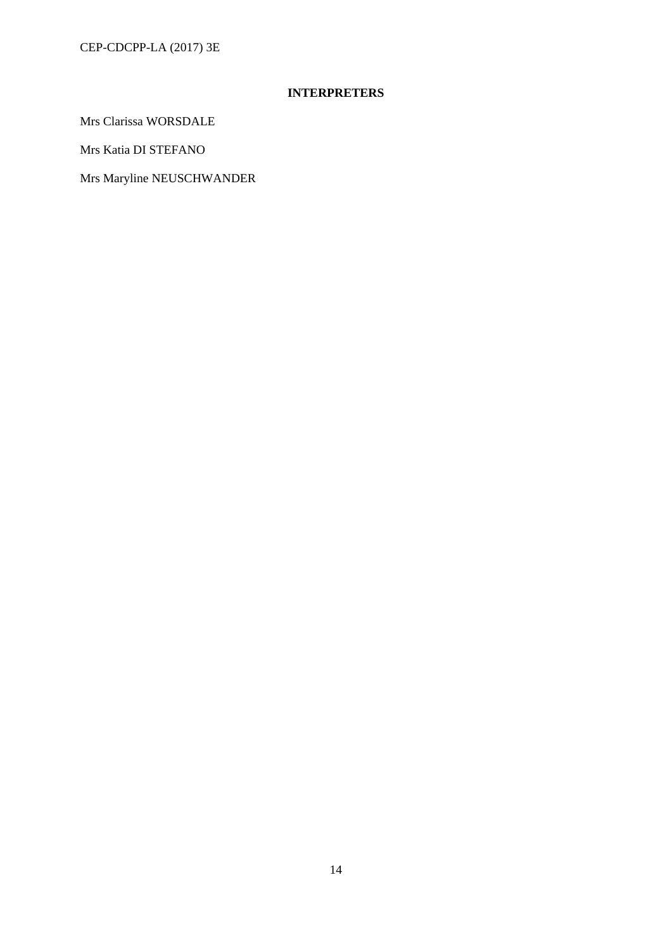CEP-CDCPP-LA (2017) 3E

# **INTERPRETERS**

Mrs Clarissa WORSDALE

Mrs Katia DI STEFANO

Mrs Maryline NEUSCHWANDER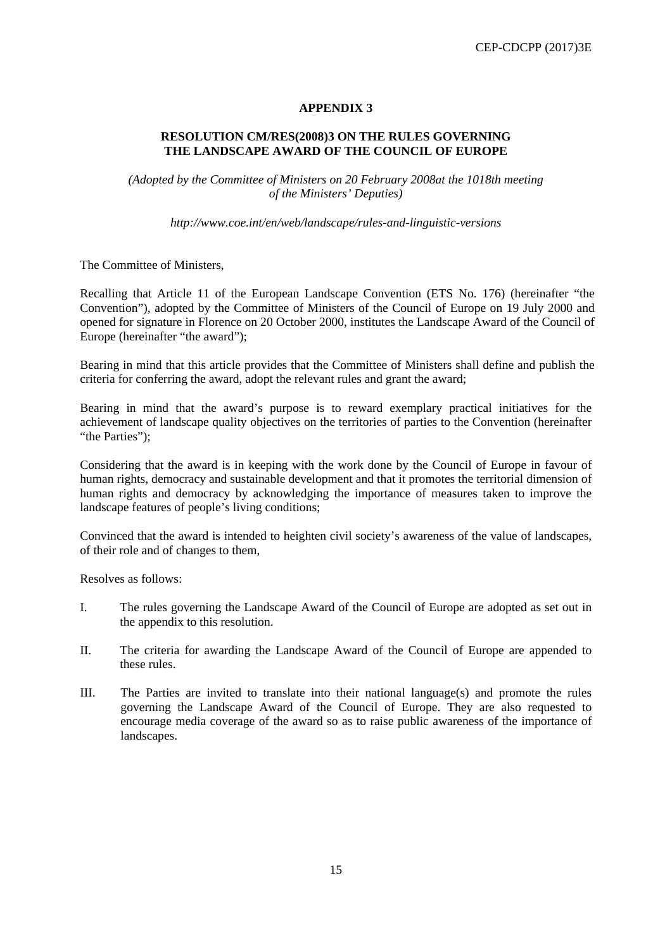## **APPENDIX 3**

## **RESOLUTION CM/RES(2008)3 ON THE RULES GOVERNING THE LANDSCAPE AWARD OF THE COUNCIL OF EUROPE**

*(Adopted by the Committee of Ministers on 20 February 2008at the 1018th meeting of the Ministers' Deputies)*

*http://www.coe.int/en/web/landscape/rules-and-linguistic-versions*

The Committee of Ministers,

Recalling that Article 11 of the European Landscape Convention (ETS No. 176) (hereinafter "the Convention"), adopted by the Committee of Ministers of the Council of Europe on 19 July 2000 and opened for signature in Florence on 20 October 2000, institutes the Landscape Award of the Council of Europe (hereinafter "the award");

Bearing in mind that this article provides that the Committee of Ministers shall define and publish the criteria for conferring the award, adopt the relevant rules and grant the award;

Bearing in mind that the award's purpose is to reward exemplary practical initiatives for the achievement of landscape quality objectives on the territories of parties to the Convention (hereinafter "the Parties");

Considering that the award is in keeping with the work done by the Council of Europe in favour of human rights, democracy and sustainable development and that it promotes the territorial dimension of human rights and democracy by acknowledging the importance of measures taken to improve the landscape features of people's living conditions;

Convinced that the award is intended to heighten civil society's awareness of the value of landscapes, of their role and of changes to them,

Resolves as follows:

- I. The rules governing the Landscape Award of the Council of Europe are adopted as set out in the appendix to this resolution.
- II. The criteria for awarding the Landscape Award of the Council of Europe are appended to these rules.
- III. The Parties are invited to translate into their national language(s) and promote the rules governing the Landscape Award of the Council of Europe. They are also requested to encourage media coverage of the award so as to raise public awareness of the importance of landscapes.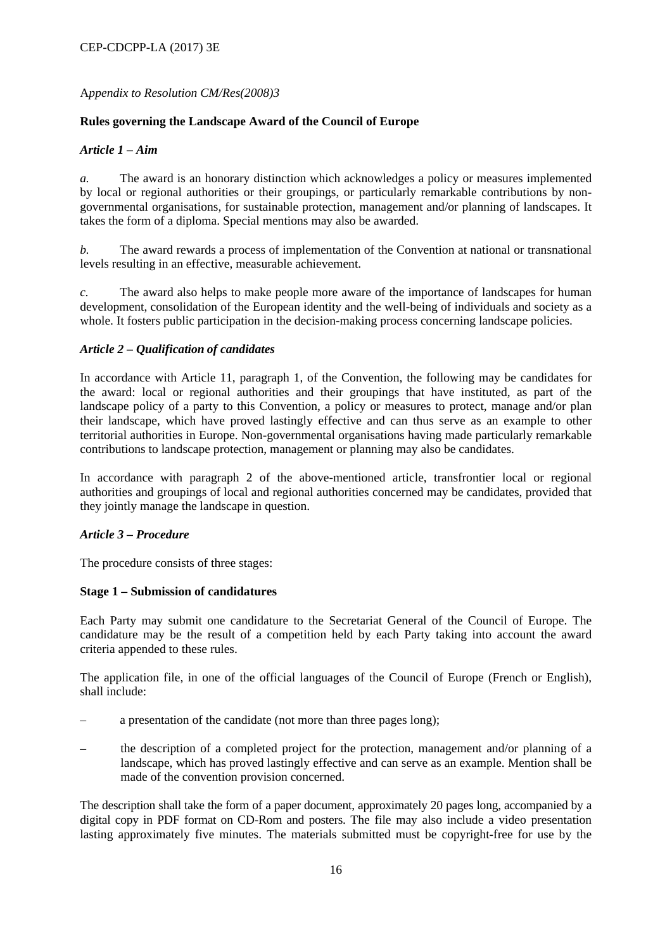## A*ppendix to Resolution CM/Res(2008)3*

## **Rules governing the Landscape Award of the Council of Europe**

## *Article 1 – Aim*

*a.* The award is an honorary distinction which acknowledges a policy or measures implemented by local or regional authorities or their groupings, or particularly remarkable contributions by nongovernmental organisations, for sustainable protection, management and/or planning of landscapes. It takes the form of a diploma. Special mentions may also be awarded.

*b.* The award rewards a process of implementation of the Convention at national or transnational levels resulting in an effective, measurable achievement.

*c.* The award also helps to make people more aware of the importance of landscapes for human development, consolidation of the European identity and the well-being of individuals and society as a whole. It fosters public participation in the decision-making process concerning landscape policies.

## *Article 2 – Qualification of candidates*

In accordance with Article 11, paragraph 1, of the Convention, the following may be candidates for the award: local or regional authorities and their groupings that have instituted, as part of the landscape policy of a party to this Convention, a policy or measures to protect, manage and/or plan their landscape, which have proved lastingly effective and can thus serve as an example to other territorial authorities in Europe. Non-governmental organisations having made particularly remarkable contributions to landscape protection, management or planning may also be candidates.

In accordance with paragraph 2 of the above-mentioned article, transfrontier local or regional authorities and groupings of local and regional authorities concerned may be candidates, provided that they jointly manage the landscape in question.

### *Article 3 – Procedure*

The procedure consists of three stages:

### **Stage 1** *–* **Submission of candidatures**

Each Party may submit one candidature to the Secretariat General of the Council of Europe. The candidature may be the result of a competition held by each Party taking into account the award criteria appended to these rules.

The application file, in one of the official languages of the Council of Europe (French or English), shall include:

- a presentation of the candidate (not more than three pages long);
- the description of a completed project for the protection, management and/or planning of a landscape, which has proved lastingly effective and can serve as an example. Mention shall be made of the convention provision concerned.

The description shall take the form of a paper document, approximately 20 pages long, accompanied by a digital copy in PDF format on CD-Rom and posters. The file may also include a video presentation lasting approximately five minutes. The materials submitted must be copyright-free for use by the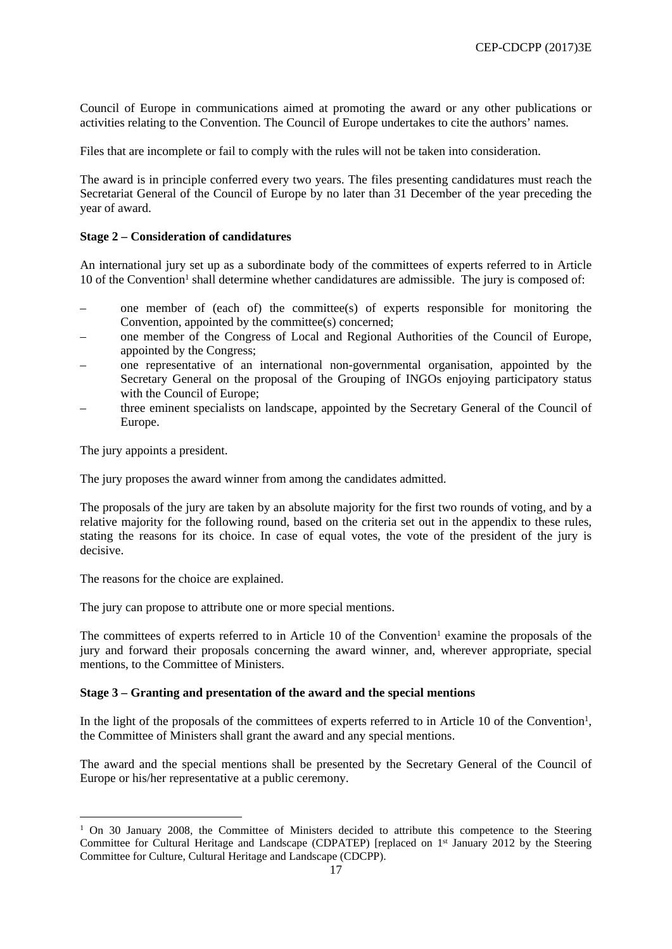Council of Europe in communications aimed at promoting the award or any other publications or activities relating to the Convention. The Council of Europe undertakes to cite the authors' names.

Files that are incomplete or fail to comply with the rules will not be taken into consideration.

The award is in principle conferred every two years. The files presenting candidatures must reach the Secretariat General of the Council of Europe by no later than 31 December of the year preceding the year of award.

#### **Stage 2** *–* **Consideration of candidatures**

An international jury set up as a subordinate body of the committees of experts referred to in Article 10 of the Convention<sup>1</sup> shall determine whether candidatures are admissible. The jury is composed of:

- one member of (each of) the committee(s) of experts responsible for monitoring the Convention, appointed by the committee(s) concerned;
- one member of the Congress of Local and Regional Authorities of the Council of Europe, appointed by the Congress;
- one representative of an international non-governmental organisation, appointed by the Secretary General on the proposal of the Grouping of INGOs enjoying participatory status with the Council of Europe;
- three eminent specialists on landscape, appointed by the Secretary General of the Council of Europe.

The jury appoints a president.

The jury proposes the award winner from among the candidates admitted.

The proposals of the jury are taken by an absolute majority for the first two rounds of voting, and by a relative majority for the following round, based on the criteria set out in the appendix to these rules, stating the reasons for its choice. In case of equal votes, the vote of the president of the jury is decisive.

The reasons for the choice are explained.

The jury can propose to attribute one or more special mentions.

The committees of experts referred to in Article 10 of the Convention<sup>1</sup> examine the proposals of the jury and forward their proposals concerning the award winner, and, wherever appropriate, special mentions, to the Committee of Ministers.

#### **Stage 3** *–* **Granting and presentation of the award and the special mentions**

In the light of the proposals of the committees of experts referred to in Article 10 of the Convention<sup>1</sup>, the Committee of Ministers shall grant the award and any special mentions.

The award and the special mentions shall be presented by the Secretary General of the Council of Europe or his/her representative at a public ceremony.

<sup>&</sup>lt;sup>1</sup> On 30 January 2008, the Committee of Ministers decided to attribute this competence to the Steering Committee for Cultural Heritage and Landscape (CDPATEP) [replaced on 1<sup>st</sup> January 2012 by the Steering Committee for Culture, Cultural Heritage and Landscape (CDCPP).